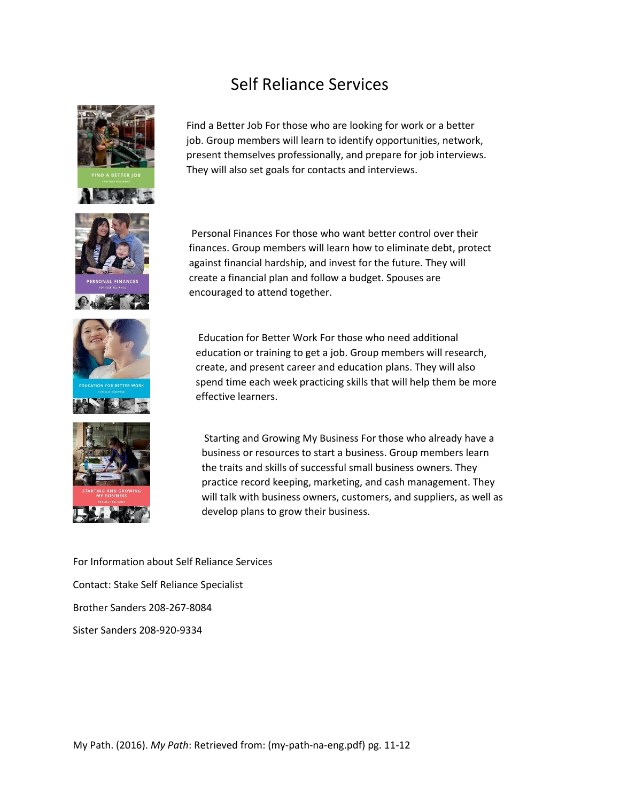## Self Reliance Services











Find a Better Job For those who are looking for work or a better job. Group members will learn to identify opportunities, network, present themselves professionally, and prepare for job interviews. They will also set goals for contacts and interviews.

Personal Finances For those who want better control over their finances. Group members will learn how to eliminate debt, protect against financial hardship, and invest for the future. They will create a financial plan and follow a budget. Spouses are encouraged to attend together.

Education for Better Work For those who need additional education or training to get a job. Group members will research, create, and present career and education plans. They will also spend time each week practicing skills that will help them be more effective learners.

Starting and Growing My Business For those who already have a business or resources to start a business. Group members learn the traits and skills of successful small business owners. They practice record keeping, marketing, and cash management. They will talk with business owners, customers, and suppliers, as well as develop plans to grow their business.

For Information about Self Reliance Services Contact: Stake Self Reliance Specialist Brother Sanders 208-267-8084 Sister Sanders 208-920-9334